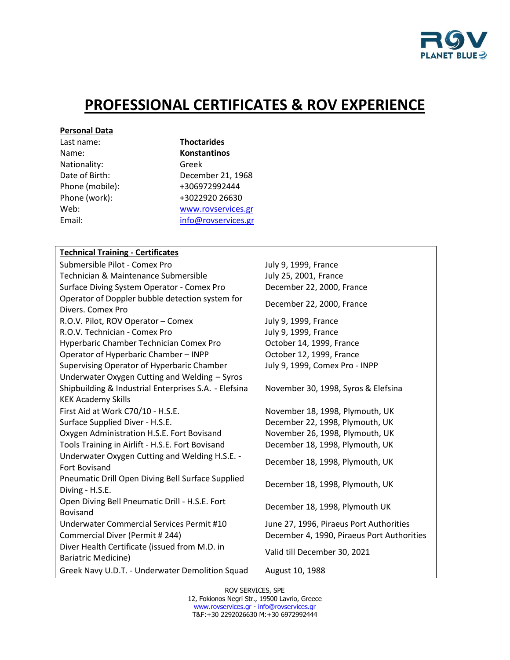

# **PROFESSIONAL CERTIFICATES & ROV EXPERIENCE**

#### **Personal Data**

| Last name:      |
|-----------------|
| Name:           |
| Nationality:    |
| Date of Birth:  |
| Phone (mobile): |
| Phone (work):   |
| Web:            |
| Email:          |

**Thoctarides** Name: **Konstantinos** Greek December 21, 1968 Phone (mobile): +306972992444 +3022920 26630 [www.rovservices.gr](http://www.rovservices.gr/) [info@rovservices.gr](mailto:info@rovservices.gr)

#### **Technical Training - Certificates**

Submersible Pilot - Comex Pro July 9, 1999, France Technician & Maintenance Submersible July 25, 2001, France Surface Diving System Operator - Comex Pro December 22, 2000, France Operator of Doppler bubble detection system for Operator of Doppier bubble detection system for December 22, 2000, France R.O.V. Pilot, ROV Operator – Comex July 9, 1999, France R.O.V. Technician - Comex Pro July 9, 1999, France Hyperbaric Chamber Technician Comex Pro **October 14, 1999, France** Operator of Hyperbaric Chamber – INPP October 12, 1999, France Supervising Operator of Hyperbaric Chamber July 9, 1999, Comex Pro - INPP Underwater Oxygen Cutting and Welding – Syros Shipbuilding & Industrial Enterprises S.A. - Elefsina KEK Academy Skills First Aid at Work C70/10 - H.S.E. November 18, 1998, Plymouth, UK Surface Supplied Diver - H.S.E. **December 22, 1998, Plymouth, UK** Oxygen Administration H.S.E. Fort Bovisand November 26, 1998, Plymouth, UK Tools Training in Airlift - H.S.E. Fort Bovisand December 18, 1998, Plymouth, UK Underwater Oxygen Cutting and Welding H.S.E. - British Bovisand December 18, 1998, Plymouth, UK<br>Fort Bovisand Pneumatic Drill Open Diving Bell Surface Supplied December 18, 1998, Plymouth, UK<br>Diving - H.S.E. Open Diving Bell Pneumatic Drill - H.S.E. Fort Bovisand Bovisand December 18, 1998, Plymouth UK Underwater Commercial Services Permit #10 June 27, 1996, Piraeus Port Authorities Commercial Diver (Permit # 244) December 4, 1990, Piraeus Port Authorities Diver Health Certificate (issued from M.D. in Bariatric Medicine) Valid till December 30, 2021 Greek Navy U.D.T. - Underwater Demolition Squad August 10, 1988

November 30, 1998, Syros & Elefsina

ROV SERVICES, SPE 12, Fokionos Negri Str., 19500 Lavrio, Greece [www.rovservices.gr](http://www.rovservices.gr/) - info@rovservice Τ&F:+30 2292026630 M:+30 6972992444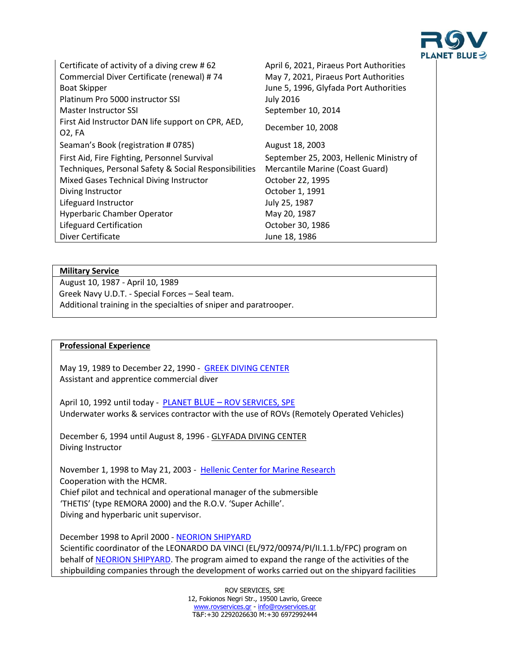

| Certificate of activity of a diving crew #62<br>Commercial Diver Certificate (renewal) #74<br><b>Boat Skipper</b> | April 6, 2021, Piraeus Port Authorities<br>May 7, 2021, Piraeus Port Authorities<br>June 5, 1996, Glyfada Port Authorities |
|-------------------------------------------------------------------------------------------------------------------|----------------------------------------------------------------------------------------------------------------------------|
| Platinum Pro 5000 instructor SSI                                                                                  | <b>July 2016</b>                                                                                                           |
| <b>Master Instructor SSI</b>                                                                                      | September 10, 2014                                                                                                         |
| First Aid Instructor DAN life support on CPR, AED,<br>02, FA                                                      | December 10, 2008                                                                                                          |
| Seaman's Book (registration # 0785)                                                                               | August 18, 2003                                                                                                            |
| First Aid, Fire Fighting, Personnel Survival                                                                      | September 25, 2003, Hellenic Ministry of                                                                                   |
| Techniques, Personal Safety & Social Responsibilities                                                             | Mercantile Marine (Coast Guard)                                                                                            |
| Mixed Gases Technical Diving Instructor                                                                           | October 22, 1995                                                                                                           |
| Diving Instructor                                                                                                 | October 1, 1991                                                                                                            |
| Lifeguard Instructor                                                                                              | July 25, 1987                                                                                                              |
| <b>Hyperbaric Chamber Operator</b>                                                                                | May 20, 1987                                                                                                               |
| Lifeguard Certification                                                                                           | October 30, 1986                                                                                                           |
| Diver Certificate                                                                                                 | June 18, 1986                                                                                                              |

#### **Military Service**

August 10, 1987 - April 10, 1989 Greek Navy U.D.T. - Special Forces – Seal team. Additional training in the specialties of sniper and paratrooper.

### **Professional Experience**

May 19, 1989 to December 22, 1990 - [GREEK DIVING CENTER](http://www.greekdivingcenter.gr/) Assistant and apprentice commercial diver

April 10, 1992 until today - PLANET BLUE - ROV [SERVICES, SPE](http://www.rovservices.gr/) Underwater works & services contractor with the use of ROVs (Remotely Operated Vehicles)

December 6, 1994 until August 8, 1996 - GLYFADA DIVING CENTER Diving Instructor

November 1, 1998 to May 21, 2003 - Hellenic Center [for Marine Research](https://www.hcmr.gr/en/) Cooperation with the HCMR. Chief pilot and technical and operational manager of the submersible 'THETIS' (type REMORA 2000) and the R.O.V. 'Super Achille'. Diving and hyperbaric unit supervisor.

December 1998 to April 2000 - [NEORION SHIPYARD](http://www.onexsyrosshipyards.com/) Scientific coordinator of the LEONARDO DA VINCI (EL/972/00974/PI/II.1.1.b/FPC) program on behalf o[f NEORION SHIPYARD.](http://www.onexsyrosshipyards.com/) The program aimed to expand the range of the activities of the shipbuilding companies through the development of works carried out on the shipyard facilities

> ROV SERVICES, SPE 12, Fokionos Negri Str., 19500 Lavrio, Greece [www.rovservices.gr](http://www.rovservices.gr/) - info@rovservice Τ&F:+30 2292026630 M:+30 6972992444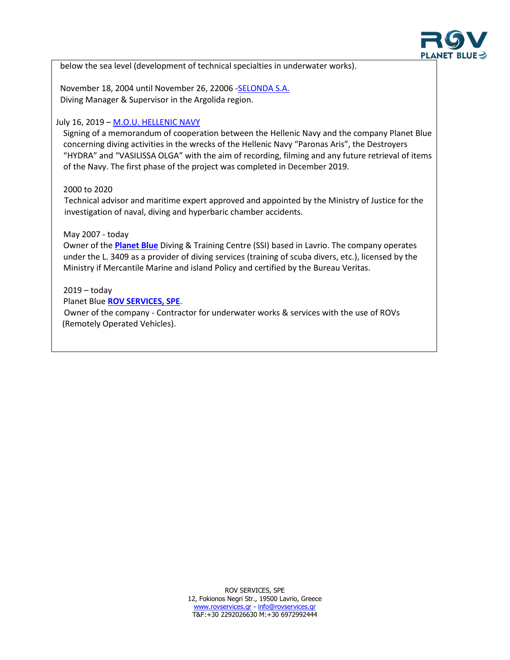

below the sea level (development of technical specialties in underwater works).

 November 18, 2004 until November 26, 22006 [-SELONDA S.A.](http://selonda.com/) Diving Manager & Supervisor in the Argolida region.

#### July 16, 2019 – [M.O.U. HELLENIC NAVY](https://www.hellenicnavy.gr/el/enimerosi/anakoinoseis-drastiriotiton/item/12137-ypografi-mnimoniou-synergasias-polemikoy-naftikoy-kai-etaireias-planet-blue.html)

Signing of a memorandum of cooperation between the Hellenic Navy and the company Planet Blue concerning diving activities in the wrecks of the Hellenic Navy "Paronas Aris", the Destroyers "HYDRA" and "VASILISSA OLGA" with the aim of recording, filming and any future retrieval of items of the Navy. The first phase of the project was completed in December 2019.

#### 2000 to 2020

 Technical advisor and maritime expert approved and appointed by the Ministry of Justice for the investigation of naval, diving and hyperbaric chamber accidents.

### May 2007 - today

Owner of the **[Planet](http://www.planetblue.gr/) Blue** Diving & Training Centre (SSI) based in Lavrio. The company operates under the L. 3409 as a provider of diving services (training of scuba divers, etc.), licensed by the Ministry if Mercantile Marine and island Policy and certified by the Bureau Veritas.

### 2019 – today

Planet Blue **[ROV SERVICES, SPE](http://www.rovservices.gr/)**. Owner of the company - Contractor for underwater works & services with the use of ROVs (Remotely Operated Vehicles).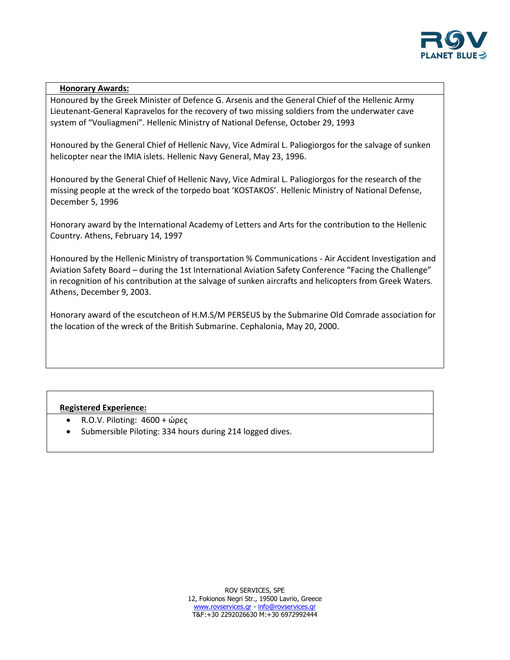

### **Honorary Awards:**

Honoured by the Greek Minister of Defence G. Arsenis and the General Chief of the Hellenic Army Lieutenant-General Kapravelos for the recovery of two missing soldiers from the underwater cave system of "Vouliagmeni". Hellenic Ministry of National Defense, October 29, 1993

Honoured by the General Chief of Hellenic Navy, Vice Admiral L. Paliogiorgos for the salvage of sunken helicopter near the IMIA islets. Hellenic Navy General, May 23, 1996.

Honoured by the General Chief of Hellenic Navy, Vice Admiral L. Paliogiorgos for the research of the missing people at the wreck of the torpedo boat 'KOSTAKOS'. Hellenic Ministry of National Defense, December 5, 1996

Honorary award by the International Academy of Letters and Arts for the contribution to the Hellenic Country. Athens, February 14, 1997

Honoured by the Hellenic Ministry of transportation % Communications - Air Accident Investigation and Aviation Safety Board – during the 1st International Aviation Safety Conference "Facing the Challenge" in recognition of his contribution at the salvage of sunken aircrafts and helicopters from Greek Waters. Athens, December 9, 2003.

Honorary award of the escutcheon of H.M.S/M PERSEUS by the Submarine Old Comrade association for the location of the wreck of the British Submarine. Cephalonia, May 20, 2000.

### **Registered Experience:**

- R.O.V. Piloting: 4600 + ώρες
- Submersible Piloting: 334 hours during 214 logged dives.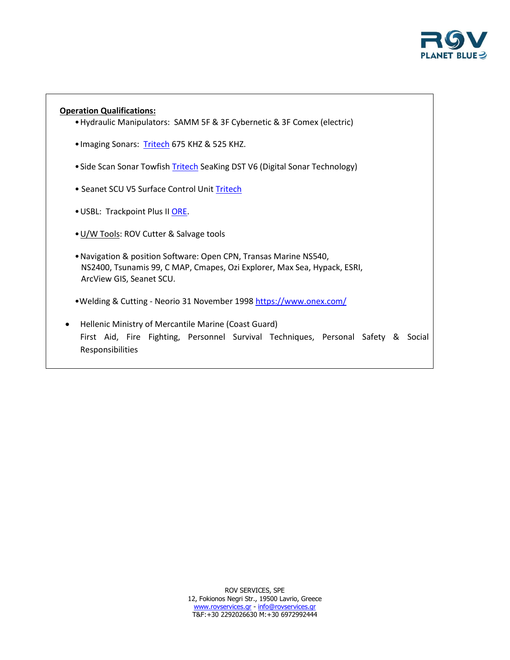

# **Operation Qualifications:** •Hydraulic Manipulators: SAMM 5F & 3F Cybernetic & 3F Comex (electric) • Imaging Sonars: [Tritech](https://www.tritech.co.uk/) 675 KHZ & 525 KHZ. • Side Scan Sonar Towfish [Tritech](https://www.tritech.co.uk/) SeaKing DST V6 (Digital Sonar Technology) • Seanet SCU V5 Surface Control Unit [Tritech](https://www.tritech.co.uk/product/tritech-seanet-scu-v5-surface-control-unit) •USBL: Trackpoint Plus II [ORE.](https://www.edgetech.com/) •[U/W Tools:](https://comex.fr/en/home/) ROV Cutter & Salvage tools •Navigation & position Software: Open CPN, Transas Marine NS540, NS2400, Tsunamis 99, C MAP, Cmapes, Ozi Explorer, Max Sea, Hypack, ESRI, ArcView GIS, Seanet SCU. •Welding & Cutting - Neorio 31 November 1998 <https://www.onex.com/> Hellenic Ministry of Mercantile Marine (Coast Guard) First Aid, Fire Fighting, Personnel Survival Techniques, Personal Safety & Social

Responsibilities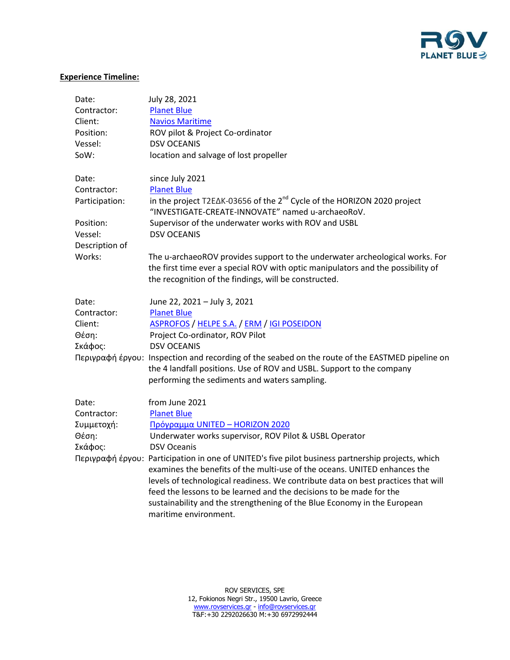

## **Experience Timeline:**

| Date:          | July 28, 2021                                                                                                                            |
|----------------|------------------------------------------------------------------------------------------------------------------------------------------|
| Contractor:    | <b>Planet Blue</b>                                                                                                                       |
| Client:        | <b>Navios Maritime</b>                                                                                                                   |
| Position:      | ROV pilot & Project Co-ordinator                                                                                                         |
| Vessel:        | <b>DSV OCEANIS</b>                                                                                                                       |
| SoW:           | location and salvage of lost propeller                                                                                                   |
| Date:          | since July 2021                                                                                                                          |
| Contractor:    | <b>Planet Blue</b>                                                                                                                       |
| Participation: | in the project T2E∆K-03656 of the 2 <sup>nd</sup> Cycle of the HORIZON 2020 project<br>"INVESTIGATE-CREATE-INNOVATE" named u-archaeoRoV. |
| Position:      | Supervisor of the underwater works with ROV and USBL                                                                                     |
| Vessel:        | <b>DSV OCEANIS</b>                                                                                                                       |
| Description of |                                                                                                                                          |
| Works:         | The u-archaeoROV provides support to the underwater archeological works. For                                                             |
|                | the first time ever a special ROV with optic manipulators and the possibility of                                                         |
|                | the recognition of the findings, will be constructed.                                                                                    |
| Date:          | June 22, 2021 - July 3, 2021                                                                                                             |
| Contractor:    | <b>Planet Blue</b>                                                                                                                       |
| Client:        | <b>ASPROFOS / HELPE S.A. / ERM / IGI POSEIDON</b>                                                                                        |
| Θέση:          | Project Co-ordinator, ROV Pilot                                                                                                          |
| Σκάφος:        | <b>DSV OCEANIS</b>                                                                                                                       |
|                | Περιγραφή έργου: Inspection and recording of the seabed on the route of the EASTMED pipeline on                                          |
|                | the 4 landfall positions. Use of ROV and USBL. Support to the company                                                                    |
|                | performing the sediments and waters sampling.                                                                                            |
| Date:          | from June 2021                                                                                                                           |
| Contractor:    | <b>Planet Blue</b>                                                                                                                       |
| Συμμετοχή:     | Πρόγραμμα UNITED - HORIZON 2020                                                                                                          |
| Θέση:          | Underwater works supervisor, ROV Pilot & USBL Operator                                                                                   |
| Σκάφος:        | <b>DSV Oceanis</b>                                                                                                                       |
|                | Περιγραφή έργου: Participation in one of UNITED's five pilot business partnership projects, which                                        |
|                | examines the benefits of the multi-use of the oceans. UNITED enhances the                                                                |
|                | levels of technological readiness. We contribute data on best practices that will                                                        |
|                | feed the lessons to be learned and the decisions to be made for the                                                                      |
|                | sustainability and the strengthening of the Blue Economy in the European                                                                 |
|                | maritime environment.                                                                                                                    |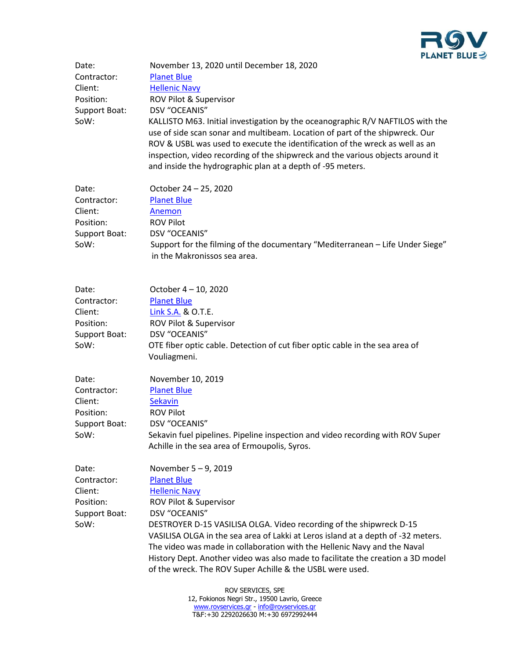

| Date:<br>Contractor:<br>Client:<br>Position:<br>Support Boat:<br>SoW: | November 13, 2020 until December 18, 2020<br><b>Planet Blue</b><br><b>Hellenic Navy</b><br>ROV Pilot & Supervisor<br>DSV "OCEANIS"<br>KALLISTO M63. Initial investigation by the oceanographic R/V NAFTILOS with the<br>use of side scan sonar and multibeam. Location of part of the shipwreck. Our<br>ROV & USBL was used to execute the identification of the wreck as well as an<br>inspection, video recording of the shipwreck and the various objects around it<br>and inside the hydrographic plan at a depth of -95 meters. |  |  |
|-----------------------------------------------------------------------|--------------------------------------------------------------------------------------------------------------------------------------------------------------------------------------------------------------------------------------------------------------------------------------------------------------------------------------------------------------------------------------------------------------------------------------------------------------------------------------------------------------------------------------|--|--|
| Date:<br>Contractor:<br>Client:<br>Position:<br>Support Boat:<br>SoW: | October 24 - 25, 2020<br><b>Planet Blue</b><br>Anemon<br><b>ROV Pilot</b><br>DSV "OCEANIS"<br>Support for the filming of the documentary "Mediterranean - Life Under Siege"<br>in the Makronissos sea area.                                                                                                                                                                                                                                                                                                                          |  |  |
| Date:<br>Contractor:<br>Client:<br>Position:<br>Support Boat:<br>SoW: | October 4 - 10, 2020<br><b>Planet Blue</b><br>Link S.A. & O.T.E.<br>ROV Pilot & Supervisor<br>DSV "OCEANIS"<br>OTE fiber optic cable. Detection of cut fiber optic cable in the sea area of<br>Vouliagmeni.                                                                                                                                                                                                                                                                                                                          |  |  |
| Date:<br>Contractor:<br>Client:<br>Position:<br>Support Boat:<br>SoW: | November 10, 2019<br><b>Planet Blue</b><br><b>Sekavin</b><br><b>ROV Pilot</b><br>DSV "OCEANIS"<br>Sekavin fuel pipelines. Pipeline inspection and video recording with ROV Super<br>Achille in the sea area of Ermoupolis, Syros.                                                                                                                                                                                                                                                                                                    |  |  |
| Date:<br>Contractor:<br>Client:<br>Position:<br>Support Boat:<br>SoW: | November 5-9, 2019<br><b>Planet Blue</b><br><b>Hellenic Navy</b><br>ROV Pilot & Supervisor<br>DSV "OCEANIS"<br>DESTROYER D-15 VASILISA OLGA. Video recording of the shipwreck D-15<br>VASILISA OLGA in the sea area of Lakki at Leros island at a depth of -32 meters.<br>The video was made in collaboration with the Hellenic Navy and the Naval<br>History Dept. Another video was also made to facilitate the creation a 3D model<br>of the wreck. The ROV Super Achille & the USBL were used.                                   |  |  |
|                                                                       | DOM CEDMICES CDE                                                                                                                                                                                                                                                                                                                                                                                                                                                                                                                     |  |  |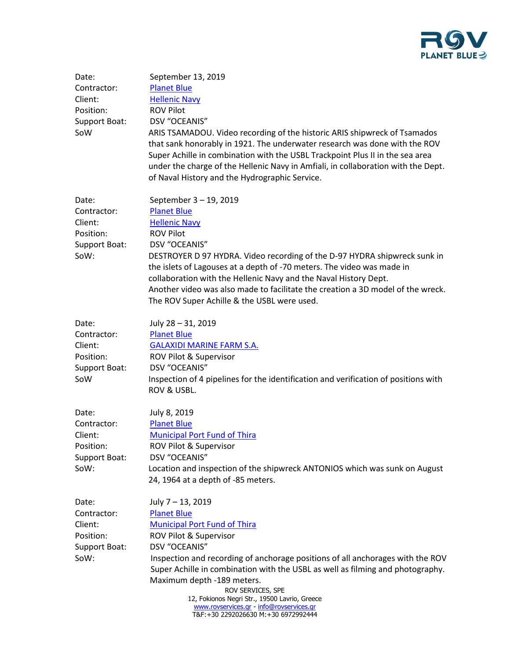

| Date:<br>Contractor:<br>Client:<br>Position:<br>Support Boat:<br>SoW  | September 13, 2019<br><b>Planet Blue</b><br><b>Hellenic Navy</b><br><b>ROV Pilot</b><br><b>DSV "OCEANIS"</b><br>ARIS TSAMADOU. Video recording of the historic ARIS shipwreck of Tsamados<br>that sank honorably in 1921. The underwater research was done with the ROV<br>Super Achille in combination with the USBL Trackpoint Plus II in the sea area<br>under the charge of the Hellenic Navy in Amfiali, in collaboration with the Dept.<br>of Naval History and the Hydrographic Service. |
|-----------------------------------------------------------------------|-------------------------------------------------------------------------------------------------------------------------------------------------------------------------------------------------------------------------------------------------------------------------------------------------------------------------------------------------------------------------------------------------------------------------------------------------------------------------------------------------|
| Date:<br>Contractor:<br>Client:<br>Position:<br>Support Boat:<br>SoW: | September 3 - 19, 2019<br><b>Planet Blue</b><br><b>Hellenic Navy</b><br><b>ROV Pilot</b><br>DSV "OCEANIS"<br>DESTROYER D 97 HYDRA. Video recording of the D-97 HYDRA shipwreck sunk in<br>the islets of Lagouses at a depth of -70 meters. The video was made in<br>collaboration with the Hellenic Navy and the Naval History Dept.<br>Another video was also made to facilitate the creation a 3D model of the wreck.<br>The ROV Super Achille & the USBL were used.                          |
| Date:<br>Contractor:<br>Client:<br>Position:<br>Support Boat:<br>SoW  | July 28 - 31, 2019<br><b>Planet Blue</b><br><b>GALAXIDI MARINE FARM S.A.</b><br>ROV Pilot & Supervisor<br>DSV "OCEANIS"<br>Inspection of 4 pipelines for the identification and verification of positions with<br>ROV & USBL.                                                                                                                                                                                                                                                                   |
| Date:<br>Contractor:<br>Client:<br>Position:<br>Support Boat:<br>SoW: | July 8, 2019<br><b>Planet Blue</b><br><b>Municipal Port Fund of Thira</b><br>ROV Pilot & Supervisor<br>DSV "OCEANIS"<br>Location and inspection of the shipwreck ANTONIOS which was sunk on August<br>24, 1964 at a depth of -85 meters.                                                                                                                                                                                                                                                        |
| Date:<br>Contractor:<br>Client:<br>Position:<br>Support Boat:<br>SoW: | July 7 - 13, 2019<br><b>Planet Blue</b><br><b>Municipal Port Fund of Thira</b><br>ROV Pilot & Supervisor<br>DSV "OCEANIS"<br>Inspection and recording of anchorage positions of all anchorages with the ROV<br>Super Achille in combination with the USBL as well as filming and photography.<br>Maximum depth -189 meters.<br>ROV SERVICES, SPE<br>12, Fokionos Negri Str., 19500 Lavrio, Greece<br>www.rovservices.gr - info@rovservices.gr<br>T&F:+30 2292026630 M:+30 6972992444            |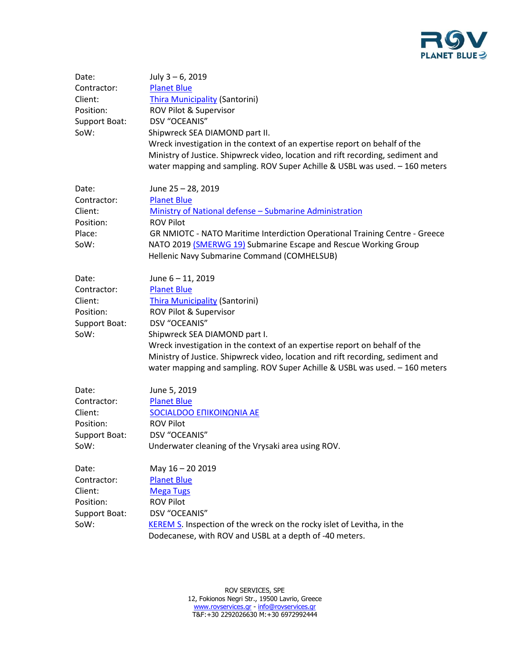

| Date:<br>Contractor:<br>Client:<br>Position:<br>Support Boat:<br>SoW: | July 3-6, 2019<br><b>Planet Blue</b><br><b>Thira Municipality (Santorini)</b><br>ROV Pilot & Supervisor<br><b>DSV "OCEANIS"</b><br>Shipwreck SEA DIAMOND part II.<br>Wreck investigation in the context of an expertise report on behalf of the<br>Ministry of Justice. Shipwreck video, location and rift recording, sediment and<br>water mapping and sampling. ROV Super Achille & USBL was used. - 160 meters |
|-----------------------------------------------------------------------|-------------------------------------------------------------------------------------------------------------------------------------------------------------------------------------------------------------------------------------------------------------------------------------------------------------------------------------------------------------------------------------------------------------------|
| Date:<br>Contractor:<br>Client:<br>Position:<br>Place:<br>SoW:        | June 25 - 28, 2019<br><b>Planet Blue</b><br>Ministry of National defense - Submarine Administration<br><b>ROV Pilot</b><br>GR NMIOTC - NATO Maritime Interdiction Operational Training Centre - Greece<br>NATO 2019 (SMERWG 19) Submarine Escape and Rescue Working Group<br>Hellenic Navy Submarine Command (COMHELSUB)                                                                                          |
| Date:<br>Contractor:<br>Client:<br>Position:<br>Support Boat:<br>SoW: | June 6 - 11, 2019<br><b>Planet Blue</b><br><b>Thira Municipality (Santorini)</b><br>ROV Pilot & Supervisor<br>DSV "OCEANIS"<br>Shipwreck SEA DIAMOND part I.<br>Wreck investigation in the context of an expertise report on behalf of the<br>Ministry of Justice. Shipwreck video, location and rift recording, sediment and<br>water mapping and sampling. ROV Super Achille & USBL was used. - 160 meters      |
| Date:<br>Contractor:<br>Client:<br>Position:<br>Support Boat:<br>SoW: | June 5, 2019<br><b>Planet Blue</b><br>SOCIALDOO EΠΙΚΟΙΝΩΝΙΑ ΑΕ<br><b>ROV Pilot</b><br>DSV "OCEANIS"<br>Underwater cleaning of the Vrysaki area using ROV.                                                                                                                                                                                                                                                         |
| Date:<br>Contractor:<br>Client:<br>Position:<br>Support Boat:<br>SoW: | May 16 - 20 2019<br><b>Planet Blue</b><br><b>Mega Tugs</b><br><b>ROV Pilot</b><br>DSV "OCEANIS"<br><b>KEREM S.</b> Inspection of the wreck on the rocky islet of Levitha, in the<br>Dodecanese, with ROV and USBL at a depth of -40 meters.                                                                                                                                                                       |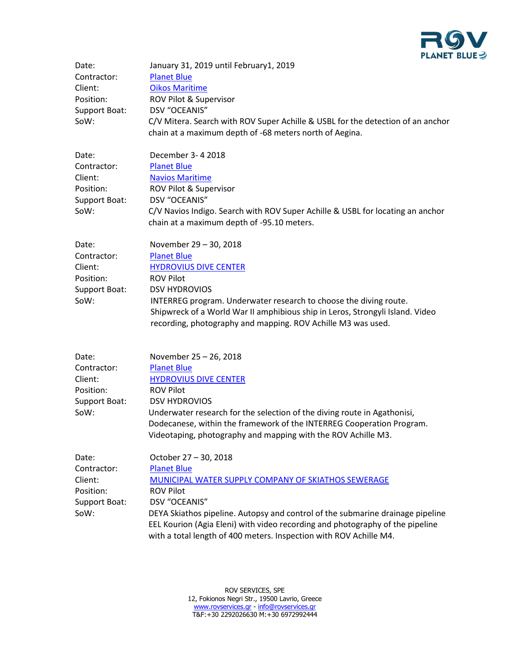

| Date:<br>Contractor:<br>Client:<br>Position:<br>Support Boat:<br>SoW: | January 31, 2019 until February1, 2019<br><b>Planet Blue</b><br><b>Oikos Maritime</b><br>ROV Pilot & Supervisor<br><b>DSV "OCEANIS"</b><br>C/V Mitera. Search with ROV Super Achille & USBL for the detection of an anchor<br>chain at a maximum depth of -68 meters north of Aegina.                                                                                            |
|-----------------------------------------------------------------------|----------------------------------------------------------------------------------------------------------------------------------------------------------------------------------------------------------------------------------------------------------------------------------------------------------------------------------------------------------------------------------|
| Date:<br>Contractor:<br>Client:<br>Position:<br>Support Boat:<br>SoW: | December 3-4 2018<br><b>Planet Blue</b><br><b>Navios Maritime</b><br>ROV Pilot & Supervisor<br>DSV "OCEANIS"<br>C/V Navios Indigo. Search with ROV Super Achille & USBL for locating an anchor<br>chain at a maximum depth of -95.10 meters.                                                                                                                                     |
| Date:<br>Contractor:<br>Client:<br>Position:<br>Support Boat:<br>SoW: | November 29 - 30, 2018<br><b>Planet Blue</b><br><b>HYDROVIUS DIVE CENTER</b><br><b>ROV Pilot</b><br><b>DSV HYDROVIOS</b><br>INTERREG program. Underwater research to choose the diving route.<br>Shipwreck of a World War II amphibious ship in Leros, Strongyli Island. Video<br>recording, photography and mapping. ROV Achille M3 was used.                                   |
| Date:<br>Contractor:<br>Client:<br>Position:<br>Support Boat:<br>SoW: | November 25 - 26, 2018<br><b>Planet Blue</b><br><b>HYDROVIUS DIVE CENTER</b><br><b>ROV Pilot</b><br><b>DSV HYDROVIOS</b><br>Underwater research for the selection of the diving route in Agathonisi,<br>Dodecanese, within the framework of the INTERREG Cooperation Program.<br>Videotaping, photography and mapping with the ROV Achille M3.                                   |
| Date:<br>Contractor:<br>Client:<br>Position:<br>Support Boat:<br>SoW: | October 27 - 30, 2018<br><b>Planet Blue</b><br>MUNICIPAL WATER SUPPLY COMPANY OF SKIATHOS SEWERAGE<br><b>ROV Pilot</b><br>DSV "OCEANIS"<br>DEYA Skiathos pipeline. Autopsy and control of the submarine drainage pipeline<br>EEL Kourion (Agia Eleni) with video recording and photography of the pipeline<br>with a total length of 400 meters. Inspection with ROV Achille M4. |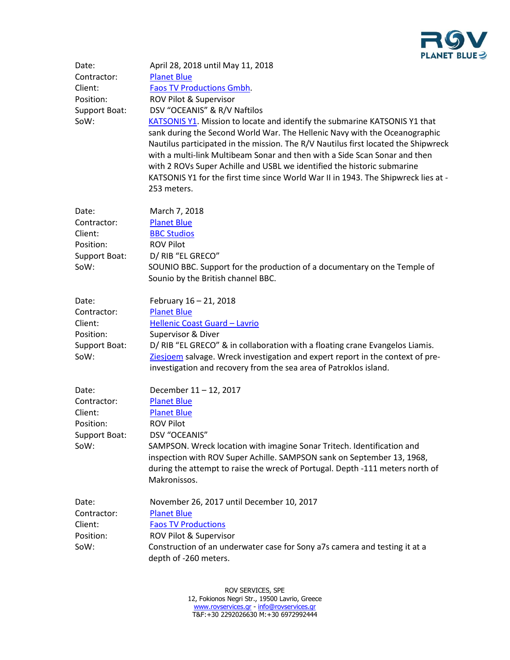

| Date:<br>Contractor:<br>Client:<br>Position:<br>Support Boat:<br>SoW: | April 28, 2018 until May 11, 2018<br><b>Planet Blue</b><br><b>Faos TV Productions Gmbh.</b><br>ROV Pilot & Supervisor<br>DSV "OCEANIS" & R/V Naftilos<br>KATSONIS Y1. Mission to locate and identify the submarine KATSONIS Y1 that<br>sank during the Second World War. The Hellenic Navy with the Oceanographic<br>Nautilus participated in the mission. The R/V Nautilus first located the Shipwreck<br>with a multi-link Multibeam Sonar and then with a Side Scan Sonar and then<br>with 2 ROVs Super Achille and USBL we identified the historic submarine<br>KATSONIS Y1 for the first time since World War II in 1943. The Shipwreck lies at -<br>253 meters. |
|-----------------------------------------------------------------------|-----------------------------------------------------------------------------------------------------------------------------------------------------------------------------------------------------------------------------------------------------------------------------------------------------------------------------------------------------------------------------------------------------------------------------------------------------------------------------------------------------------------------------------------------------------------------------------------------------------------------------------------------------------------------|
| Date:<br>Contractor:<br>Client:<br>Position:<br>Support Boat:<br>SoW: | March 7, 2018<br><b>Planet Blue</b><br><b>BBC Studios</b><br><b>ROV Pilot</b><br>D/ RIB "EL GRECO"<br>SOUNIO BBC. Support for the production of a documentary on the Temple of<br>Sounio by the British channel BBC.                                                                                                                                                                                                                                                                                                                                                                                                                                                  |
| Date:<br>Contractor:<br>Client:<br>Position:<br>Support Boat:<br>SoW: | February 16 - 21, 2018<br><b>Planet Blue</b><br>Hellenic Coast Guard - Lavrio<br>Supervisor & Diver<br>D/ RIB "EL GRECO" & in collaboration with a floating crane Evangelos Liamis.<br>Ziesjoem salvage. Wreck investigation and expert report in the context of pre-<br>investigation and recovery from the sea area of Patroklos island.                                                                                                                                                                                                                                                                                                                            |
| Date:<br>Contractor:<br>Client:<br>Position:<br>Support Boat:<br>SoW: | December 11 - 12, 2017<br><b>Planet Blue</b><br><b>Planet Blue</b><br><b>ROV Pilot</b><br>DSV "OCEANIS"<br>SAMPSON. Wreck location with imagine Sonar Tritech. Identification and<br>inspection with ROV Super Achille. SAMPSON sank on September 13, 1968,<br>during the attempt to raise the wreck of Portugal. Depth -111 meters north of<br>Makronissos.                                                                                                                                                                                                                                                                                                          |
| Date:<br>Contractor:<br>Client:<br>Position:<br>SoW:                  | November 26, 2017 until December 10, 2017<br><b>Planet Blue</b><br><b>Faos TV Productions</b><br>ROV Pilot & Supervisor<br>Construction of an underwater case for Sony a7s camera and testing it at a<br>depth of -260 meters.                                                                                                                                                                                                                                                                                                                                                                                                                                        |

ROV SERVICES, SPE 12, Fokionos Negri Str., 19500 Lavrio, Greece [www.rovservices.gr](http://www.rovservices.gr/) - [info@rovservices.gr](mailto:info@rovservices.gr) Τ&F:+30 2292026630 M:+30 6972992444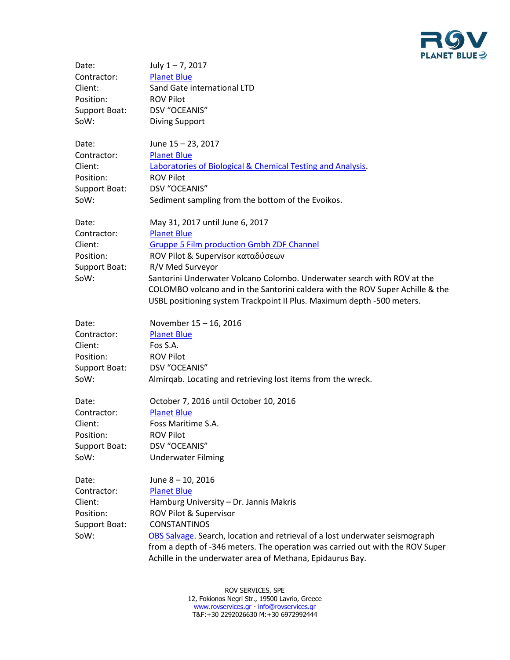

| Date:         | July $1 - 7$ , 2017                                                           |
|---------------|-------------------------------------------------------------------------------|
| Contractor:   | <b>Planet Blue</b>                                                            |
| Client:       | Sand Gate international LTD                                                   |
| Position:     | <b>ROV Pilot</b>                                                              |
| Support Boat: | DSV "OCEANIS"                                                                 |
| SoW:          | <b>Diving Support</b>                                                         |
| Date:         | June 15 - 23, 2017                                                            |
| Contractor:   | <b>Planet Blue</b>                                                            |
| Client:       | Laboratories of Biological & Chemical Testing and Analysis.                   |
| Position:     | <b>ROV Pilot</b>                                                              |
| Support Boat: | DSV "OCEANIS"                                                                 |
| SoW:          | Sediment sampling from the bottom of the Evoikos.                             |
| Date:         | May 31, 2017 until June 6, 2017                                               |
| Contractor:   | <b>Planet Blue</b>                                                            |
| Client:       | <b>Gruppe 5 Film production Gmbh ZDF Channel</b>                              |
| Position:     | ROV Pilot & Supervisor καταδύσεων                                             |
| Support Boat: | R/V Med Surveyor                                                              |
| SoW:          | Santorini Underwater Volcano Colombo. Underwater search with ROV at the       |
|               | COLOMBO volcano and in the Santorini caldera with the ROV Super Achille & the |
|               | USBL positioning system Trackpoint II Plus. Maximum depth -500 meters.        |
| Date:         | November 15 - 16, 2016                                                        |
| Contractor:   | <b>Planet Blue</b>                                                            |
| Client:       | Fos S.A.                                                                      |
| Position:     | <b>ROV Pilot</b>                                                              |
| Support Boat: | DSV "OCEANIS"                                                                 |
| SoW:          | Almirqab. Locating and retrieving lost items from the wreck.                  |
| Date:         | October 7, 2016 until October 10, 2016                                        |
| Contractor:   | <b>Planet Blue</b>                                                            |
| Client:       | Foss Maritime S.A.                                                            |
| Position:     | <b>ROV Pilot</b>                                                              |
| Support Boat: | DSV "OCEANIS"                                                                 |
| SoW:          | <b>Underwater Filming</b>                                                     |
| Date:         | June 8 - 10, 2016                                                             |
| Contractor:   | <b>Planet Blue</b>                                                            |
| Client:       | Hamburg University - Dr. Jannis Makris                                        |
| Position:     | ROV Pilot & Supervisor                                                        |
| Support Boat: | <b>CONSTANTINOS</b>                                                           |
| SoW:          | OBS Salvage. Search, location and retrieval of a lost underwater seismograph  |
|               | from a depth of -346 meters. The operation was carried out with the ROV Super |
|               | Achille in the underwater area of Methana, Epidaurus Bay.                     |
|               |                                                                               |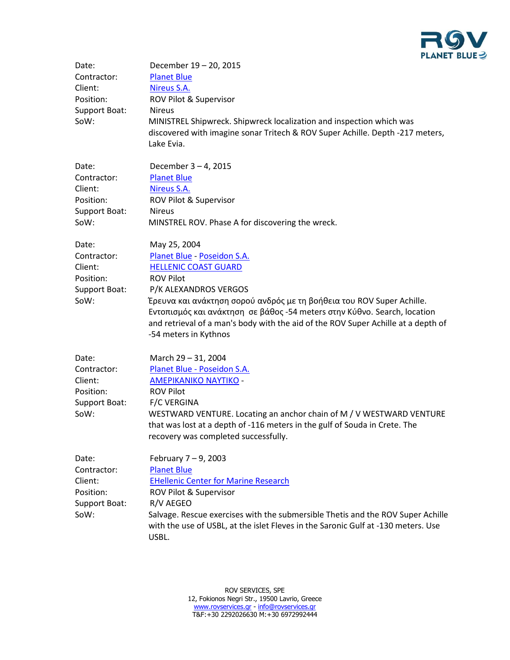

| Date:<br>Contractor:<br>Client:<br>Position:<br>Support Boat:<br>SoW: | December 19 - 20, 2015<br><b>Planet Blue</b><br>Nireus S.A.<br>ROV Pilot & Supervisor<br><b>Nireus</b><br>MINISTREL Shipwreck. Shipwreck localization and inspection which was<br>discovered with imagine sonar Tritech & ROV Super Achille. Depth -217 meters,<br>Lake Evia.                                                                                                              |
|-----------------------------------------------------------------------|--------------------------------------------------------------------------------------------------------------------------------------------------------------------------------------------------------------------------------------------------------------------------------------------------------------------------------------------------------------------------------------------|
| Date:<br>Contractor:<br>Client:<br>Position:<br>Support Boat:<br>SoW: | December 3 - 4, 2015<br><b>Planet Blue</b><br>Nireus S.A.<br>ROV Pilot & Supervisor<br><b>Nireus</b><br>MINSTREL ROV. Phase A for discovering the wreck.                                                                                                                                                                                                                                   |
| Date:<br>Contractor:<br>Client:<br>Position:<br>Support Boat:<br>SoW: | May 25, 2004<br>Planet Blue - Poseidon S.A.<br><b>HELLENIC COAST GUARD</b><br><b>ROV Pilot</b><br>P/K ALEXANDROS VERGOS<br>Έρευνα και ανάκτηση σορού ανδρός με τη βοήθεια του ROV Super Achille.<br>Εντοπισμός και ανάκτηση σε βάθος -54 meters στην Κύθνο. Search, location<br>and retrieval of a man's body with the aid of the ROV Super Achille at a depth of<br>-54 meters in Kythnos |
| Date:<br>Contractor:<br>Client:<br>Position:<br>Support Boat:<br>SoW: | March 29 - 31, 2004<br>Planet Blue - Poseidon S.A.<br><b>AMEPIKANIKO NAYTIKO -</b><br><b>ROV Pilot</b><br><b>F/C VERGINA</b><br>WESTWARD VENTURE. Locating an anchor chain of M / V WESTWARD VENTURE<br>that was lost at a depth of -116 meters in the gulf of Souda in Crete. The<br>recovery was completed successfully.                                                                 |
| Date:<br>Contractor:<br>Client:<br>Position:<br>Support Boat:<br>SoW: | February $7-9$ , 2003<br><b>Planet Blue</b><br><b>EHellenic Center for Marine Research</b><br>ROV Pilot & Supervisor<br>R/V AEGEO<br>Salvage. Rescue exercises with the submersible Thetis and the ROV Super Achille<br>with the use of USBL, at the islet Fleves in the Saronic Gulf at -130 meters. Use<br>USBL.                                                                         |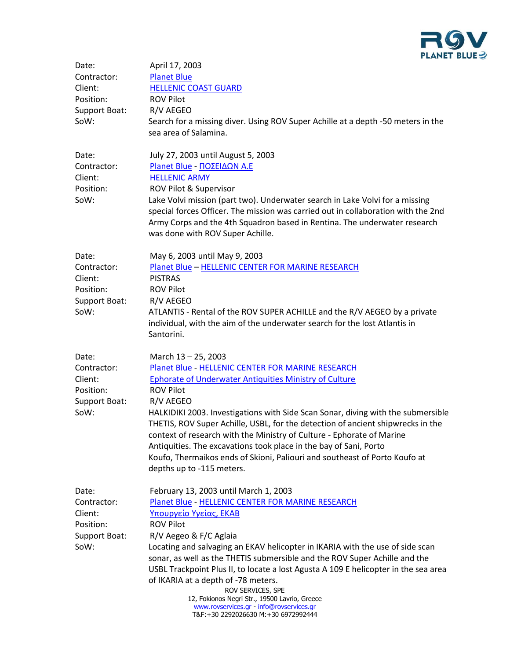

| Date:<br>Contractor:<br>Client:<br>Position:<br>Support Boat:<br>SoW: | April 17, 2003<br><b>Planet Blue</b><br><b>HELLENIC COAST GUARD</b><br><b>ROV Pilot</b><br>R/V AEGEO<br>Search for a missing diver. Using ROV Super Achille at a depth -50 meters in the<br>sea area of Salamina.                                                                                                                                                                                                                                                                                                                                                                                                        |
|-----------------------------------------------------------------------|--------------------------------------------------------------------------------------------------------------------------------------------------------------------------------------------------------------------------------------------------------------------------------------------------------------------------------------------------------------------------------------------------------------------------------------------------------------------------------------------------------------------------------------------------------------------------------------------------------------------------|
| Date:<br>Contractor:<br>Client:<br>Position:<br>SoW:                  | July 27, 2003 until August 5, 2003<br>Planet Blue - ΠΟΣΕΙΔΩΝ Α.Ε<br><b>HELLENIC ARMY</b><br>ROV Pilot & Supervisor<br>Lake Volvi mission (part two). Underwater search in Lake Volvi for a missing<br>special forces Officer. The mission was carried out in collaboration with the 2nd<br>Army Corps and the 4th Squadron based in Rentina. The underwater research<br>was done with ROV Super Achille.                                                                                                                                                                                                                 |
| Date:<br>Contractor:<br>Client:<br>Position:<br>Support Boat:<br>SoW: | May 6, 2003 until May 9, 2003<br>Planet Blue - HELLENIC CENTER FOR MARINE RESEARCH<br><b>PISTRAS</b><br><b>ROV Pilot</b><br>R/V AEGEO<br>ATLANTIS - Rental of the ROV SUPER ACHILLE and the R/V AEGEO by a private<br>individual, with the aim of the underwater search for the lost Atlantis in<br>Santorini.                                                                                                                                                                                                                                                                                                           |
| Date:<br>Contractor:<br>Client:<br>Position:<br>Support Boat:<br>SoW: | March 13 - 25, 2003<br>Planet Blue - HELLENIC CENTER FOR MARINE RESEARCH<br><b>Ephorate of Underwater Antiquities Ministry of Culture</b><br><b>ROV Pilot</b><br>R/V AEGEO<br>HALKIDIKI 2003. Investigations with Side Scan Sonar, diving with the submersible<br>THETIS, ROV Super Achille, USBL, for the detection of ancient shipwrecks in the<br>context of research with the Ministry of Culture - Ephorate of Marine<br>Antiquities. The excavations took place in the bay of Sani, Porto<br>Koufo, Thermaikos ends of Skioni, Paliouri and southeast of Porto Koufo at<br>depths up to -115 meters.               |
| Date:<br>Contractor:<br>Client:<br>Position:<br>Support Boat:<br>SoW: | February 13, 2003 until March 1, 2003<br>Planet Blue - HELLENIC CENTER FOR MARINE RESEARCH<br>Υπουργείο Υγείας, ΕΚΑΒ<br><b>ROV Pilot</b><br>R/V Aegeo & F/C Aglaia<br>Locating and salvaging an EKAV helicopter in IKARIA with the use of side scan<br>sonar, as well as the THETIS submersible and the ROV Super Achille and the<br>USBL Trackpoint Plus II, to locate a lost Agusta A 109 E helicopter in the sea area<br>of IKARIA at a depth of -78 meters.<br>ROV SERVICES, SPE<br>12, Fokionos Negri Str., 19500 Lavrio, Greece<br>www.rovservices.gr - info@rovservices.gr<br>T&F:+30 2292026630 M:+30 6972992444 |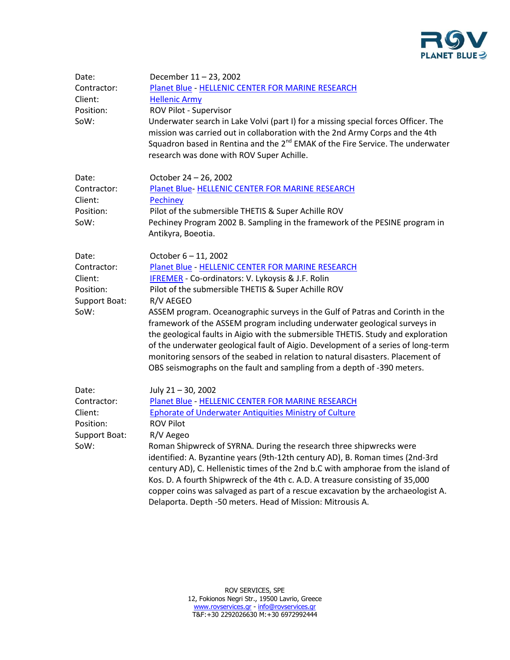

| Date:<br>Contractor:<br>Client:<br>Position:<br>SoW:                  | December 11 - 23, 2002<br>Planet Blue - HELLENIC CENTER FOR MARINE RESEARCH<br><b>Hellenic Army</b><br>ROV Pilot - Supervisor<br>Underwater search in Lake Volvi (part I) for a missing special forces Officer. The<br>mission was carried out in collaboration with the 2nd Army Corps and the 4th<br>Squadron based in Rentina and the 2 <sup>nd</sup> EMAK of the Fire Service. The underwater<br>research was done with ROV Super Achille.                                                                                                                                                                                                                                                                  |
|-----------------------------------------------------------------------|-----------------------------------------------------------------------------------------------------------------------------------------------------------------------------------------------------------------------------------------------------------------------------------------------------------------------------------------------------------------------------------------------------------------------------------------------------------------------------------------------------------------------------------------------------------------------------------------------------------------------------------------------------------------------------------------------------------------|
| Date:<br>Contractor:<br>Client:<br>Position:<br>SoW:                  | October 24 - 26, 2002<br>Planet Blue-HELLENIC CENTER FOR MARINE RESEARCH<br><b>Pechiney</b><br>Pilot of the submersible THETIS & Super Achille ROV<br>Pechiney Program 2002 B. Sampling in the framework of the PESINE program in<br>Antikyra, Boeotia.                                                                                                                                                                                                                                                                                                                                                                                                                                                         |
| Date:<br>Contractor:<br>Client:<br>Position:<br>Support Boat:<br>SoW: | October 6 - 11, 2002<br>Planet Blue - HELLENIC CENTER FOR MARINE RESEARCH<br><b>IFREMER</b> - Co-ordinators: V. Lykoysis & J.F. Rolin<br>Pilot of the submersible THETIS & Super Achille ROV<br>R/V AEGEO<br>ASSEM program. Oceanographic surveys in the Gulf of Patras and Corinth in the<br>framework of the ASSEM program including underwater geological surveys in<br>the geological faults in Aigio with the submersible THETIS. Study and exploration<br>of the underwater geological fault of Aigio. Development of a series of long-term<br>monitoring sensors of the seabed in relation to natural disasters. Placement of<br>OBS seismographs on the fault and sampling from a depth of -390 meters. |
| Date:<br>Contractor:<br>Client:<br>Position:<br>Support Boat:<br>SoW: | July 21-30, 2002<br>Planet Blue - HELLENIC CENTER FOR MARINE RESEARCH<br>Ephorate of Underwater Antiquities Ministry of Culture<br><b>ROV Pilot</b><br>R/V Aegeo<br>Roman Shipwreck of SYRNA. During the research three shipwrecks were<br>identified: A. Byzantine years (9th-12th century AD), B. Roman times (2nd-3rd<br>century AD), C. Hellenistic times of the 2nd b.C with amphorae from the island of<br>Kos. D. A fourth Shipwreck of the 4th c. A.D. A treasure consisting of 35,000<br>copper coins was salvaged as part of a rescue excavation by the archaeologist A.<br>Delaporta. Depth -50 meters. Head of Mission: Mitrousis A.                                                                |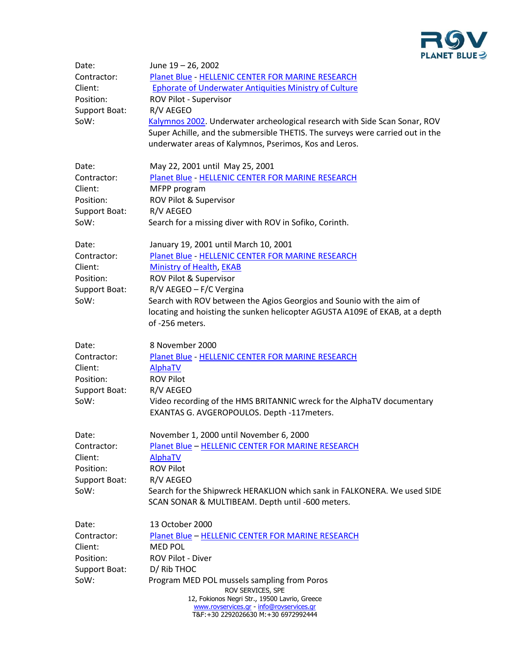

| Date:         | June 19 – 26, 2002                                                                                                   |
|---------------|----------------------------------------------------------------------------------------------------------------------|
| Contractor:   | Planet Blue - HELLENIC CENTER FOR MARINE RESEARCH                                                                    |
| Client:       | <b>Ephorate of Underwater Antiquities Ministry of Culture</b>                                                        |
| Position:     | ROV Pilot - Supervisor                                                                                               |
| Support Boat: | R/V AEGEO                                                                                                            |
| SoW:          | Kalymnos 2002. Underwater archeological research with Side Scan Sonar, ROV                                           |
|               | Super Achille, and the submersible THETIS. The surveys were carried out in the                                       |
|               | underwater areas of Kalymnos, Pserimos, Kos and Leros.                                                               |
| Date:         | May 22, 2001 until May 25, 2001                                                                                      |
| Contractor:   | Planet Blue - HELLENIC CENTER FOR MARINE RESEARCH                                                                    |
| Client:       | MFPP program                                                                                                         |
| Position:     | ROV Pilot & Supervisor                                                                                               |
| Support Boat: | R/V AEGEO                                                                                                            |
| SoW:          | Search for a missing diver with ROV in Sofiko, Corinth.                                                              |
| Date:         | January 19, 2001 until March 10, 2001                                                                                |
| Contractor:   | Planet Blue - HELLENIC CENTER FOR MARINE RESEARCH                                                                    |
| Client:       | Ministry of Health, EKAB                                                                                             |
| Position:     | ROV Pilot & Supervisor                                                                                               |
| Support Boat: | R/V AEGEO - F/C Vergina                                                                                              |
| SoW:          | Search with ROV between the Agios Georgios and Sounio with the aim of                                                |
|               | locating and hoisting the sunken helicopter AGUSTA A109E of EKAB, at a depth                                         |
|               | of -256 meters.                                                                                                      |
| Date:         | 8 November 2000                                                                                                      |
| Contractor:   | Planet Blue - HELLENIC CENTER FOR MARINE RESEARCH                                                                    |
| Client:       | AlphaTV                                                                                                              |
| Position:     | <b>ROV Pilot</b>                                                                                                     |
| Support Boat: | R/V AEGEO                                                                                                            |
| SoW:          | Video recording of the HMS BRITANNIC wreck for the AlphaTV documentary<br>EXANTAS G. AVGEROPOULOS. Depth -117meters. |
| Date:         | November 1, 2000 until November 6, 2000                                                                              |
| Contractor:   | <b>Planet Blue - HELLENIC CENTER FOR MARINE RESEARCH</b>                                                             |
| Client:       | <b>AlphaTV</b>                                                                                                       |
| Position:     | <b>ROV Pilot</b>                                                                                                     |
| Support Boat: | R/V AEGEO                                                                                                            |
| SoW:          | Search for the Shipwreck HERAKLION which sank in FALKONERA. We used SIDE                                             |
|               | SCAN SONAR & MULTIBEAM. Depth until -600 meters.                                                                     |
| Date:         | 13 October 2000                                                                                                      |
| Contractor:   | Planet Blue - HELLENIC CENTER FOR MARINE RESEARCH                                                                    |
| Client:       | <b>MED POL</b>                                                                                                       |
| Position:     | ROV Pilot - Diver                                                                                                    |
| Support Boat: | D/ Rib THOC                                                                                                          |
| SoW:          | Program MED POL mussels sampling from Poros<br>ROV SERVICES, SPE                                                     |
|               | 12, Fokionos Negri Str., 19500 Lavrio, Greece                                                                        |
|               | www.rovservices.gr - info@rovservices.gr<br>T&F:+30 2292026630 M:+30 6972992444                                      |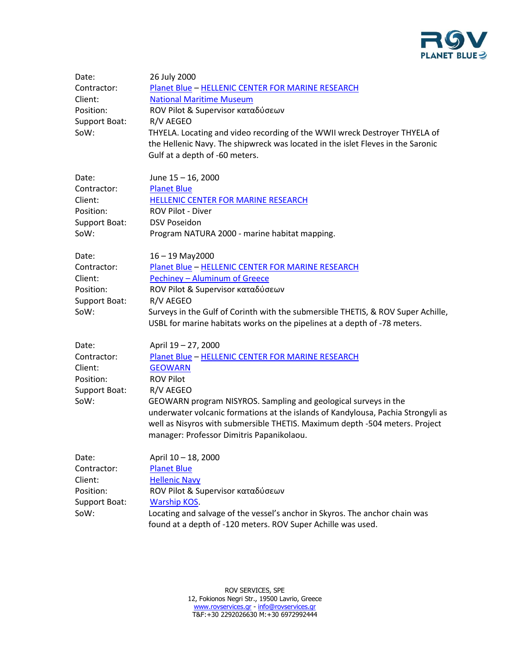

| Date:<br>Contractor:<br>Client:<br>Position:<br>Support Boat:<br>SoW: | 26 July 2000<br>Planet Blue - HELLENIC CENTER FOR MARINE RESEARCH<br><b>National Maritime Museum</b><br>ROV Pilot & Supervisor καταδύσεων<br>R/V AEGEO<br>THYELA. Locating and video recording of the WWII wreck Destroyer THYELA of<br>the Hellenic Navy. The shipwreck was located in the islet Fleves in the Saronic<br>Gulf at a depth of -60 meters.                                                      |
|-----------------------------------------------------------------------|----------------------------------------------------------------------------------------------------------------------------------------------------------------------------------------------------------------------------------------------------------------------------------------------------------------------------------------------------------------------------------------------------------------|
| Date:<br>Contractor:<br>Client:<br>Position:<br>Support Boat:<br>SoW: | June 15 - 16, 2000<br><b>Planet Blue</b><br>HELLENIC CENTER FOR MARINE RESEARCH<br>ROV Pilot - Diver<br><b>DSV Poseidon</b><br>Program NATURA 2000 - marine habitat mapping.                                                                                                                                                                                                                                   |
| Date:<br>Contractor:<br>Client:<br>Position:<br>Support Boat:<br>SoW: | $16 - 19$ May2000<br>Planet Blue - HELLENIC CENTER FOR MARINE RESEARCH<br>Pechiney - Aluminum of Greece<br>ROV Pilot & Supervisor καταδύσεων<br>R/V AEGEO<br>Surveys in the Gulf of Corinth with the submersible THETIS, & ROV Super Achille,<br>USBL for marine habitats works on the pipelines at a depth of -78 meters.                                                                                     |
| Date:<br>Contractor:<br>Client:<br>Position:<br>Support Boat:<br>SoW: | April 19 - 27, 2000<br>Planet Blue - HELLENIC CENTER FOR MARINE RESEARCH<br><b>GEOWARN</b><br><b>ROV Pilot</b><br>R/V AEGEO<br>GEOWARN program NISYROS. Sampling and geological surveys in the<br>underwater volcanic formations at the islands of Kandylousa, Pachia Strongyli as<br>well as Nisyros with submersible THETIS. Maximum depth -504 meters. Project<br>manager: Professor Dimitris Papanikolaou. |
| Date:<br>Contractor:<br>Client:<br>Position:<br>Support Boat:<br>SoW: | April 10 - 18, 2000<br><b>Planet Blue</b><br><b>Hellenic Navy</b><br>ROV Pilot & Supervisor καταδύσεων<br><b>Warship KOS.</b><br>Locating and salvage of the vessel's anchor in Skyros. The anchor chain was<br>found at a depth of -120 meters. ROV Super Achille was used.                                                                                                                                   |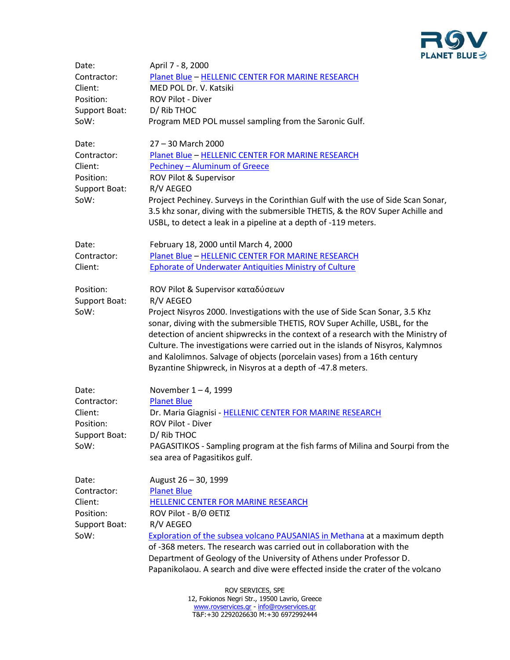

| Date:             | April 7 - 8, 2000                                                                                                                                                                                                                                                                                                                                                                                                                                                                |  |
|-------------------|----------------------------------------------------------------------------------------------------------------------------------------------------------------------------------------------------------------------------------------------------------------------------------------------------------------------------------------------------------------------------------------------------------------------------------------------------------------------------------|--|
| Contractor:       | Planet Blue - HELLENIC CENTER FOR MARINE RESEARCH                                                                                                                                                                                                                                                                                                                                                                                                                                |  |
| Client:           | MED POL Dr. V. Katsiki                                                                                                                                                                                                                                                                                                                                                                                                                                                           |  |
| Position:         | ROV Pilot - Diver                                                                                                                                                                                                                                                                                                                                                                                                                                                                |  |
| Support Boat:     | D/ Rib THOC                                                                                                                                                                                                                                                                                                                                                                                                                                                                      |  |
| SoW:              | Program MED POL mussel sampling from the Saronic Gulf.                                                                                                                                                                                                                                                                                                                                                                                                                           |  |
| Date:             | 27 - 30 March 2000                                                                                                                                                                                                                                                                                                                                                                                                                                                               |  |
| Contractor:       | Planet Blue - HELLENIC CENTER FOR MARINE RESEARCH                                                                                                                                                                                                                                                                                                                                                                                                                                |  |
| Client:           | Pechiney - Aluminum of Greece                                                                                                                                                                                                                                                                                                                                                                                                                                                    |  |
| Position:         | ROV Pilot & Supervisor                                                                                                                                                                                                                                                                                                                                                                                                                                                           |  |
| Support Boat:     | R/V AEGEO                                                                                                                                                                                                                                                                                                                                                                                                                                                                        |  |
| SoW:              | Project Pechiney. Surveys in the Corinthian Gulf with the use of Side Scan Sonar,                                                                                                                                                                                                                                                                                                                                                                                                |  |
|                   | 3.5 khz sonar, diving with the submersible THETIS, & the ROV Super Achille and                                                                                                                                                                                                                                                                                                                                                                                                   |  |
|                   | USBL, to detect a leak in a pipeline at a depth of -119 meters.                                                                                                                                                                                                                                                                                                                                                                                                                  |  |
| Date:             | February 18, 2000 until March 4, 2000                                                                                                                                                                                                                                                                                                                                                                                                                                            |  |
| Contractor:       | Planet Blue - HELLENIC CENTER FOR MARINE RESEARCH                                                                                                                                                                                                                                                                                                                                                                                                                                |  |
| Client:           | <b>Ephorate of Underwater Antiquities Ministry of Culture</b>                                                                                                                                                                                                                                                                                                                                                                                                                    |  |
| Position:         | ROV Pilot & Supervisor καταδύσεων                                                                                                                                                                                                                                                                                                                                                                                                                                                |  |
| Support Boat:     | R/V AEGEO                                                                                                                                                                                                                                                                                                                                                                                                                                                                        |  |
| SoW:              | Project Nisyros 2000. Investigations with the use of Side Scan Sonar, 3.5 Khz<br>sonar, diving with the submersible THETIS, ROV Super Achille, USBL, for the<br>detection of ancient shipwrecks in the context of a research with the Ministry of<br>Culture. The investigations were carried out in the islands of Nisyros, Kalymnos<br>and Kalolimnos. Salvage of objects (porcelain vases) from a 16th century<br>Byzantine Shipwreck, in Nisyros at a depth of -47.8 meters. |  |
| Date:             | November 1-4, 1999                                                                                                                                                                                                                                                                                                                                                                                                                                                               |  |
| Contractor:       | <b>Planet Blue</b>                                                                                                                                                                                                                                                                                                                                                                                                                                                               |  |
| Client:           | Dr. Maria Giagnisi - HELLENIC CENTER FOR MARINE RESEARCH                                                                                                                                                                                                                                                                                                                                                                                                                         |  |
| Position:         | <b>ROV Pilot - Diver</b>                                                                                                                                                                                                                                                                                                                                                                                                                                                         |  |
| Support Boat:     | D/ Rib THOC                                                                                                                                                                                                                                                                                                                                                                                                                                                                      |  |
| SoW:              | PAGASITIKOS - Sampling program at the fish farms of Milina and Sourpi from the<br>sea area of Pagasitikos gulf.                                                                                                                                                                                                                                                                                                                                                                  |  |
| Date:             | August 26 - 30, 1999                                                                                                                                                                                                                                                                                                                                                                                                                                                             |  |
| Contractor:       | <b>Planet Blue</b>                                                                                                                                                                                                                                                                                                                                                                                                                                                               |  |
| Client:           | HELLENIC CENTER FOR MARINE RESEARCH                                                                                                                                                                                                                                                                                                                                                                                                                                              |  |
| Position:         | ROV Pilot - Β/Θ ΘΕΤΙΣ                                                                                                                                                                                                                                                                                                                                                                                                                                                            |  |
| Support Boat:     | R/V AEGEO                                                                                                                                                                                                                                                                                                                                                                                                                                                                        |  |
| SoW:              | <b>Exploration of the subsea volcano PAUSANIAS in Methana at a maximum depth</b><br>of -368 meters. The research was carried out in collaboration with the                                                                                                                                                                                                                                                                                                                       |  |
|                   | Department of Geology of the University of Athens under Professor D.<br>Papanikolaou. A search and dive were effected inside the crater of the volcano                                                                                                                                                                                                                                                                                                                           |  |
| ROV SERVICES, SPE |                                                                                                                                                                                                                                                                                                                                                                                                                                                                                  |  |

12, Fokionos Negri Str., 19500 Lavrio, Greece [www.rovservices.gr](http://www.rovservices.gr/) - [info@rovservices.gr](mailto:info@rovservices.gr) Τ&F:+30 2292026630 M:+30 6972992444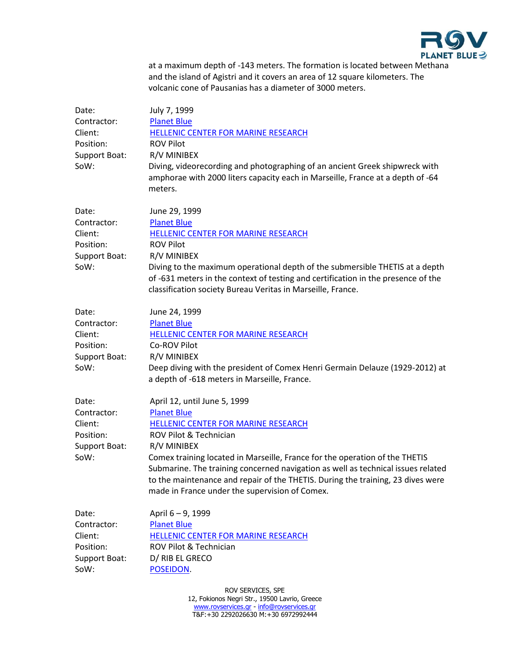

at a maximum depth of -143 meters. The formation is located between Methana and the island of Agistri and it covers an area of 12 square kilometers. The volcanic cone of Pausanias has a diameter of 3000 meters.

| Date:<br>Contractor:<br>Client:<br>Position:<br>Support Boat:<br>SoW: | July 7, 1999<br><b>Planet Blue</b><br>HELLENIC CENTER FOR MARINE RESEARCH<br><b>ROV Pilot</b><br>R/V MINIBEX<br>Diving, videorecording and photographing of an ancient Greek shipwreck with<br>amphorae with 2000 liters capacity each in Marseille, France at a depth of -64<br>meters.                                                                                                                                                   |
|-----------------------------------------------------------------------|--------------------------------------------------------------------------------------------------------------------------------------------------------------------------------------------------------------------------------------------------------------------------------------------------------------------------------------------------------------------------------------------------------------------------------------------|
| Date:<br>Contractor:<br>Client:<br>Position:<br>Support Boat:<br>SoW: | June 29, 1999<br><b>Planet Blue</b><br>HELLENIC CENTER FOR MARINE RESEARCH<br><b>ROV Pilot</b><br>R/V MINIBEX<br>Diving to the maximum operational depth of the submersible THETIS at a depth<br>of -631 meters in the context of testing and certification in the presence of the<br>classification society Bureau Veritas in Marseille, France.                                                                                          |
| Date:<br>Contractor:<br>Client:<br>Position:<br>Support Boat:<br>SoW: | June 24, 1999<br><b>Planet Blue</b><br>HELLENIC CENTER FOR MARINE RESEARCH<br>Co-ROV Pilot<br>R/V MINIBEX<br>Deep diving with the president of Comex Henri Germain Delauze (1929-2012) at<br>a depth of -618 meters in Marseille, France.                                                                                                                                                                                                  |
| Date:<br>Contractor:<br>Client:<br>Position:<br>Support Boat:<br>SoW: | April 12, until June 5, 1999<br><b>Planet Blue</b><br>HELLENIC CENTER FOR MARINE RESEARCH<br>ROV Pilot & Technician<br>R/V MINIBEX<br>Comex training located in Marseille, France for the operation of the THETIS<br>Submarine. The training concerned navigation as well as technical issues related<br>to the maintenance and repair of the THETIS. During the training, 23 dives were<br>made in France under the supervision of Comex. |
| Date:<br>Contractor:<br>Client:<br>Position:<br>Support Boat:<br>SoW: | April 6-9, 1999<br><b>Planet Blue</b><br>HELLENIC CENTER FOR MARINE RESEARCH<br>ROV Pilot & Technician<br>D/ RIB EL GRECO<br>POSEIDON.                                                                                                                                                                                                                                                                                                     |

ROV SERVICES, SPE 12, Fokionos Negri Str., 19500 Lavrio, Greece [www.rovservices.gr](http://www.rovservices.gr/) - [info@rovservices.gr](mailto:info@rovservices.gr) Τ&F:+30 2292026630 M:+30 6972992444